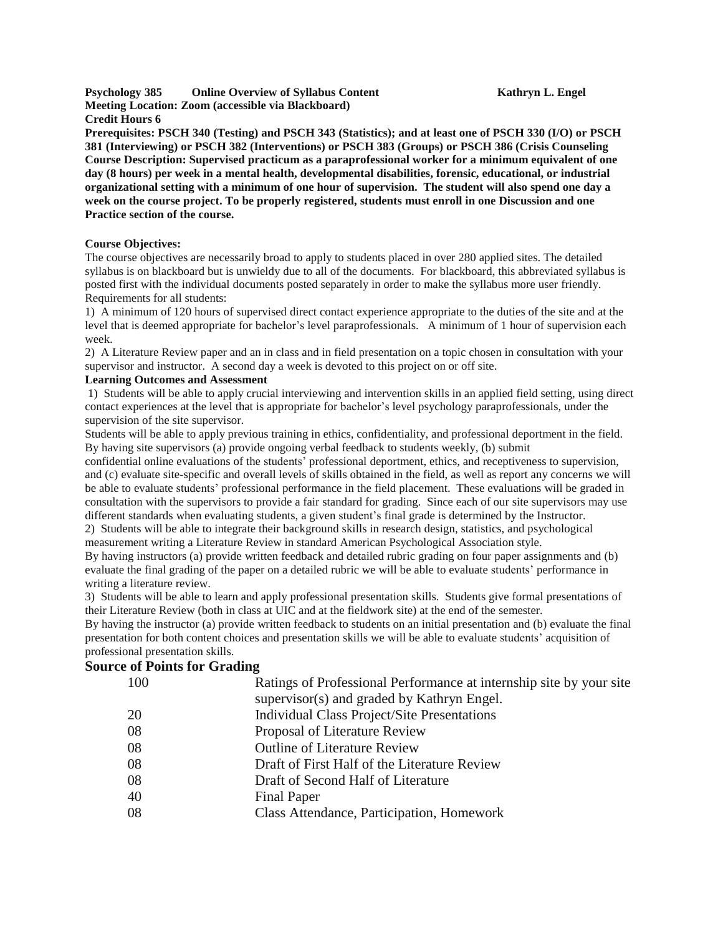**Psychology 385 Online Overview of Syllabus Content Kathryn L. Engel Meeting Location: Zoom (accessible via Blackboard) Credit Hours 6**

Prerequisites: PSCH 340 (Testing) and PSCH 343 (Statistics); and at least one of PSCH 330 (I/O) or PSCH **381 (Interviewing) or PSCH 382 (Interventions) or PSCH 383 (Groups) or PSCH 386 (Crisis Counseling Course Description: Supervised practicum as a paraprofessional worker for a minimum equivalent of one day (8 hours) per week in a mental health, developmental disabilities, forensic, educational, or industrial** organizational setting with a minimum of one hour of supervision. The student will also spend one day a **week on the course project. To be properly registered, students must enroll in one Discussion and one Practice section of the course.**

#### **Course Objectives:**

The course objectives are necessarily broad to apply to students placed in over 280 applied sites. The detailed syllabus is on blackboard but is unwieldy due to all of the documents. For blackboard, this abbreviated syllabus is posted first with the individual documents posted separately in order to make the syllabus more user friendly. Requirements for all students:

1) A minimum of 120 hours of supervised direct contact experience appropriate to the duties of the site and at the level that is deemed appropriate for bachelor's level paraprofessionals. A minimum of 1 hour of supervision each week.

2) A Literature Review paper and an in class and in field presentation on a topic chosen in consultation with your supervisor and instructor. A second day a week is devoted to this project on or off site.

#### **Learning Outcomes and Assessment**

1) Students will be able to apply crucial interviewing and intervention skills in an applied field setting, using direct contact experiences at the level that is appropriate for bachelor's level psychology paraprofessionals, under the supervision of the site supervisor.

Students will be able to apply previous training in ethics, confidentiality, and professional deportment in the field. By having site supervisors (a) provide ongoing verbal feedback to students weekly, (b) submit

confidential online evaluations of the students' professional deportment, ethics, and receptiveness to supervision, and (c) evaluate site-specific and overall levels of skills obtained in the field, as well as report any concerns we will be able to evaluate students' professional performance in the field placement. These evaluations will be graded in consultation with the supervisors to provide a fair standard for grading. Since each of our site supervisors may use different standards when evaluating students, a given student's final grade is determined by the Instructor.

2) Students will be able to integrate their background skills in research design, statistics, and psychological measurement writing a Literature Review in standard American Psychological Association style.

By having instructors (a) provide written feedback and detailed rubric grading on four paper assignments and (b) evaluate the final grading of the paper on a detailed rubric we will be able to evaluate students' performance in writing a literature review.

3) Students will be able to learn and apply professional presentation skills. Students give formal presentations of their Literature Review (both in class at UIC and at the fieldwork site) at the end of the semester.

By having the instructor (a) provide written feedback to students on an initial presentation and (b) evaluate the final presentation for both content choices and presentation skills we will be able to evaluate students' acquisition of professional presentation skills.

## **Source of Points for Grading**

| 100 | Ratings of Professional Performance at internship site by your site |
|-----|---------------------------------------------------------------------|
|     | supervisor(s) and graded by Kathryn Engel.                          |
| 20  | Individual Class Project/Site Presentations                         |
| 08  | Proposal of Literature Review                                       |
| 08  | <b>Outline of Literature Review</b>                                 |
| 08  | Draft of First Half of the Literature Review                        |
| 08  | Draft of Second Half of Literature                                  |
| 40  | <b>Final Paper</b>                                                  |
| 08  | Class Attendance, Participation, Homework                           |
|     |                                                                     |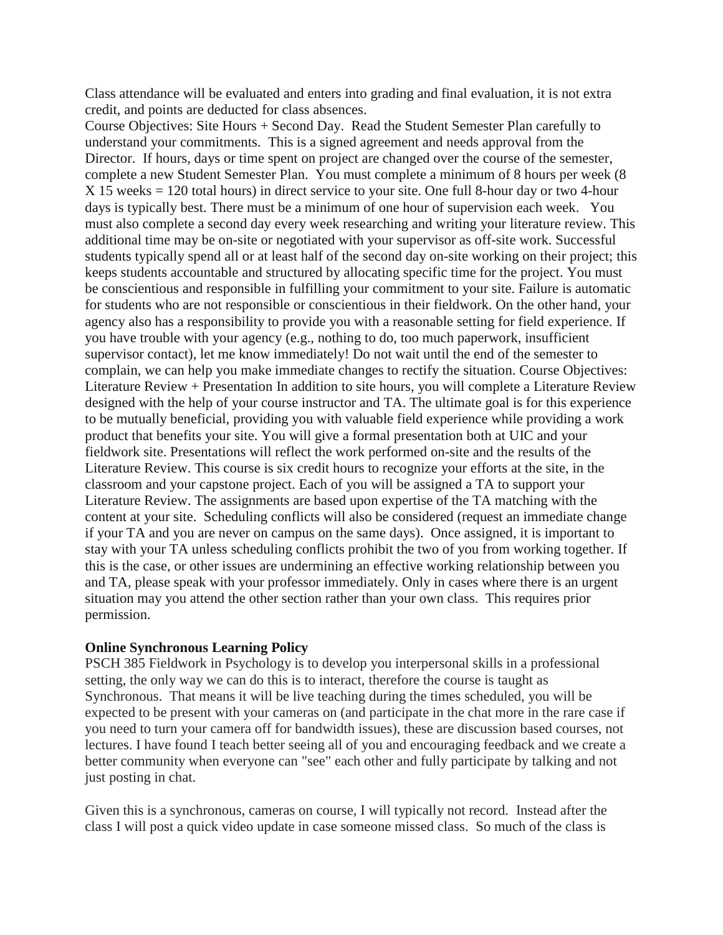Class attendance will be evaluated and enters into grading and final evaluation, it is not extra credit, and points are deducted for class absences.

Course Objectives: Site Hours + Second Day. Read the Student Semester Plan carefully to understand your commitments. This is a signed agreement and needs approval from the Director. If hours, days or time spent on project are changed over the course of the semester, complete a new Student Semester Plan. You must complete a minimum of 8 hours per week (8 X 15 weeks = 120 total hours) in direct service to your site. One full 8-hour day or two 4-hour days is typically best. There must be a minimum of one hour of supervision each week. You must also complete a second day every week researching and writing your literature review. This additional time may be on-site or negotiated with your supervisor as off-site work. Successful students typically spend all or at least half of the second day on-site working on their project; this keeps students accountable and structured by allocating specific time for the project. You must be conscientious and responsible in fulfilling your commitment to your site. Failure is automatic for students who are not responsible or conscientious in their fieldwork. On the other hand, your agency also has a responsibility to provide you with a reasonable setting for field experience. If you have trouble with your agency (e.g., nothing to do, too much paperwork, insufficient supervisor contact), let me know immediately! Do not wait until the end of the semester to complain, we can help you make immediate changes to rectify the situation. Course Objectives: Literature Review + Presentation In addition to site hours, you will complete a Literature Review designed with the help of your course instructor and TA. The ultimate goal is for this experience to be mutually beneficial, providing you with valuable field experience while providing a work product that benefits your site. You will give a formal presentation both at UIC and your fieldwork site. Presentations will reflect the work performed on-site and the results of the Literature Review. This course is six credit hours to recognize your efforts at the site, in the classroom and your capstone project. Each of you will be assigned a TA to support your Literature Review. The assignments are based upon expertise of the TA matching with the content at your site. Scheduling conflicts will also be considered (request an immediate change if your TA and you are never on campus on the same days). Once assigned, it is important to stay with your TA unless scheduling conflicts prohibit the two of you from working together. If this is the case, or other issues are undermining an effective working relationship between you and TA, please speak with your professor immediately. Only in cases where there is an urgent situation may you attend the other section rather than your own class. This requires prior permission.

# **Online Synchronous Learning Policy**

PSCH 385 Fieldwork in Psychology is to develop you interpersonal skills in a professional setting, the only way we can do this is to interact, therefore the course is taught as Synchronous. That means it will be live teaching during the times scheduled, you will be expected to be present with your cameras on (and participate in the chat more in the rare case if you need to turn your camera off for bandwidth issues), these are discussion based courses, not lectures. I have found I teach better seeing all of you and encouraging feedback and we create a better community when everyone can "see" each other and fully participate by talking and not just posting in chat.

Given this is a synchronous, cameras on course, I will typically not record. Instead after the class I will post a quick video update in case someone missed class. So much of the class is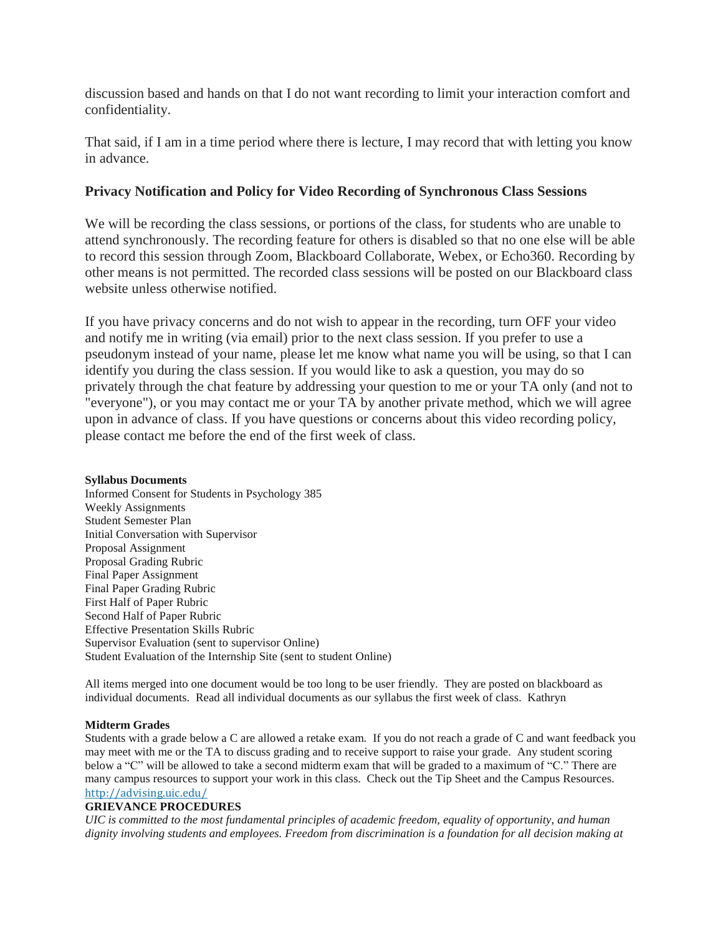discussion based and hands on that I do not want recording to limit your interaction comfort and confidentiality.

That said, if I am in a time period where there is lecture, I may record that with letting you know in advance.

# **Privacy Notification and Policy for Video Recording of Synchronous Class Sessions**

We will be recording the class sessions, or portions of the class, for students who are unable to attend synchronously. The recording feature for others is disabled so that no one else will be able to record this session through Zoom, Blackboard Collaborate, Webex, or Echo360. Recording by other means is not permitted. The recorded class sessions will be posted on our Blackboard class website unless otherwise notified.

If you have privacy concerns and do not wish to appear in the recording, turn OFF your video and notify me in writing (via email) prior to the next class session. If you prefer to use a pseudonym instead of your name, please let me know what name you will be using, so that I can identify you during the class session. If you would like to ask a question, you may do so privately through the chat feature by addressing your question to me or your TA only (and not to "everyone"), or you may contact me or your TA by another private method, which we will agree upon in advance of class. If you have questions or concerns about this video recording policy, please contact me before the end of the first week of class.

## **Syllabus Documents**

Informed Consent for Students in Psychology 385 Weekly Assignments Student Semester Plan Initial Conversation with Supervisor Proposal Assignment Proposal Grading Rubric Final Paper Assignment Final Paper Grading Rubric First Half of Paper Rubric Second Half of Paper Rubric Effective Presentation Skills Rubric Supervisor Evaluation (sent to supervisor Online) Student Evaluation of the Internship Site (sent to student Online)

All items merged into one document would be too long to be user friendly. They are posted on blackboard as individual documents. Read all individual documents as our syllabus the first week of class. Kathryn

## **Midterm Grades**

Students with a grade below a C are allowed a retake exam. If you do not reach a grade of C and want feedback you may meet with me or the TA to discuss grading and to receive support to raise your grade. Any student scoring below a "C" will be allowed to take a second midterm exam that will be graded to a maximum of "C." There are many campus resources to support your work in this class. Check out the Tip Sheet and the Campus Resources. <http://advising.uic.edu/>

## **GRIEVANCE PROCEDURES**

*UIC is committed to the most fundamental principles of academic freedom, equality of opportunity, and human dignity involving students and employees. Freedom from discrimination is a foundation for all decision making at*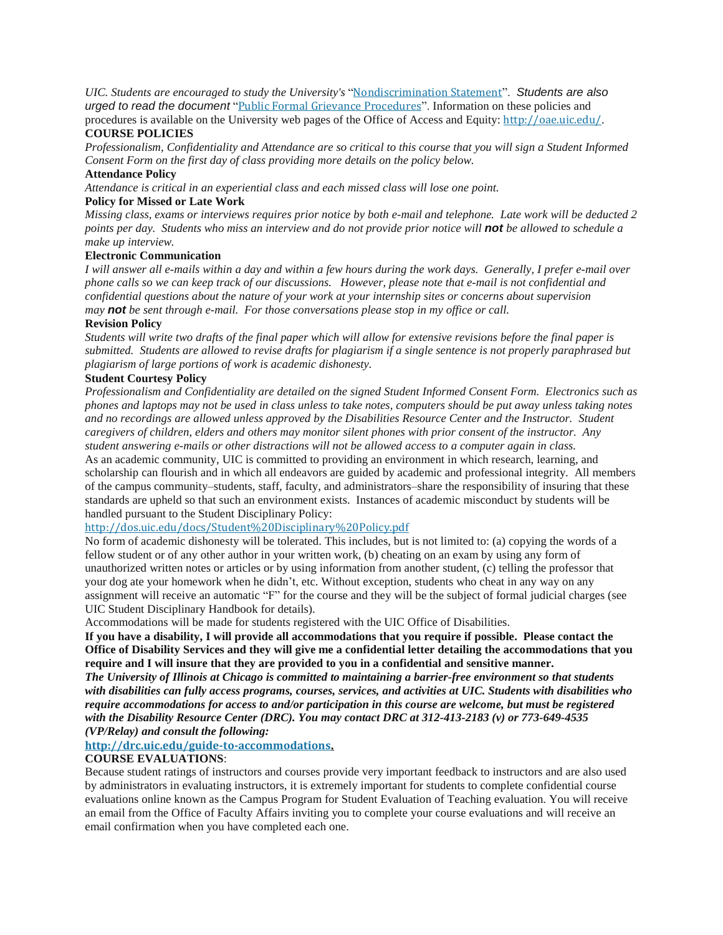*UIC. Students are encouraged to study the University's* "[Nondiscrimination](http://www.uic.edu/depts/oar/campus_policies/nondiscrimination_statement.html) Statement". *Students are also urged to read the document* "Public Formal Grievance [Procedures](http://www.uic.edu/depts/oar/campus_policies/public_grievance_procedures.html)". Information on these policies and

procedures is available on the University web pages of the Office of Access and Equity: <http://oae.uic.edu/>. **COURSE POLICIES**

Professionalism, Confidentiality and Attendance are so critical to this course that you will sign a Student Informed *Consent Form on the first day of class providing more details on the policy below.*

#### **Attendance Policy**

*Attendance is critical in an experiential class and each missed class will lose one point.*

#### **Policy for Missed or Late Work**

Missing class, exams or interviews requires prior notice by both e-mail and telephone. Late work will be deducted 2 points per day. Students who miss an interview and do not provide prior notice will not be allowed to schedule a *make up interview.*

#### **Electronic Communication**

I will answer all e-mails within a day and within a few hours during the work days. Generally, I prefer e-mail over phone calls so we can keep track of our discussions. However, please note that e-mail is not confidential and *confidential questions about the nature of your work at your internship sites or concerns about supervision may not be sent through e-mail. For those conversations please stop in my office or call.*

#### **Revision Policy**

Students will write two drafts of the final paper which will allow for extensive revisions before the final paper is submitted. Students are allowed to revise drafts for plagiarism if a single sentence is not properly paraphrased but *plagiarism of large portions of work is academic dishonesty.* 

#### **Student Courtesy Policy**

*Professionalism and Confidentiality are detailed on the signed Student Informed Consent Form. Electronics such as* phones and laptops may not be used in class unless to take notes, computers should be put away unless taking notes *and no recordings are allowed unless approved by the Disabilities Resource Center and the Instructor. Student* caregivers of children, elders and others may monitor silent phones with prior consent of the instructor. Any *student answering e-mails or other distractions will not be allowed access to a computer again in class.*

As an academic community, UIC is committed to providing an environment in which research, learning, and scholarship can flourish and in which all endeavors are guided by academic and professional integrity. All members of the campus community–students, staff, faculty, and administrators–share the responsibility of insuring that these standards are upheld so that such an environment exists. Instances of academic misconduct by students will be handled pursuant to the Student Disciplinary Policy:

#### <http://dos.uic.edu/docs/Student%20Disciplinary%20Policy.pdf>

No form of academic dishonesty will be tolerated. This includes, but is not limited to: (a) copying the words of a fellow student or of any other author in your written work, (b) cheating on an exam by using any form of unauthorized written notes or articles or by using information from another student, (c) telling the professor that your dog ate your homework when he didn't, etc. Without exception, students who cheat in any way on any assignment will receive an automatic "F" for the course and they will be the subject of formal judicial charges (see UIC Student Disciplinary Handbook for details).

Accommodations will be made for students registered with the UIC Office of Disabilities.

If you have a disability, I will provide all accommodations that you require if possible. Please contact the Office of Disability Services and they will give me a confidential letter detailing the accommodations that you **require and I will insure that they are provided to you in a confidential and sensitive manner.**

*The University of Illinois at Chicago is committed to maintaining a barrier-free environment so that students* with disabilities can fully access programs, courses, services, and activities at UIC. Students with disabilities who *require accommodations for access to and/or participation in this course are welcome, but must be registered with the Disability Resource Center (DRC). You may contact DRC at 312-413-2183 (v) or 773-649-4535 (VP/Relay) and consult the following:*

## **<http://drc.uic.edu/guide-to-accommodations>.**

### **COURSE EVALUATIONS**:

Because student ratings of instructors and courses provide very important feedback to instructors and are also used by administrators in evaluating instructors, it is extremely important for students to complete confidential course evaluations online known as the Campus Program for Student Evaluation of Teaching evaluation. You will receive an email from the Office of Faculty Affairs inviting you to complete your course evaluations and will receive an email confirmation when you have completed each one.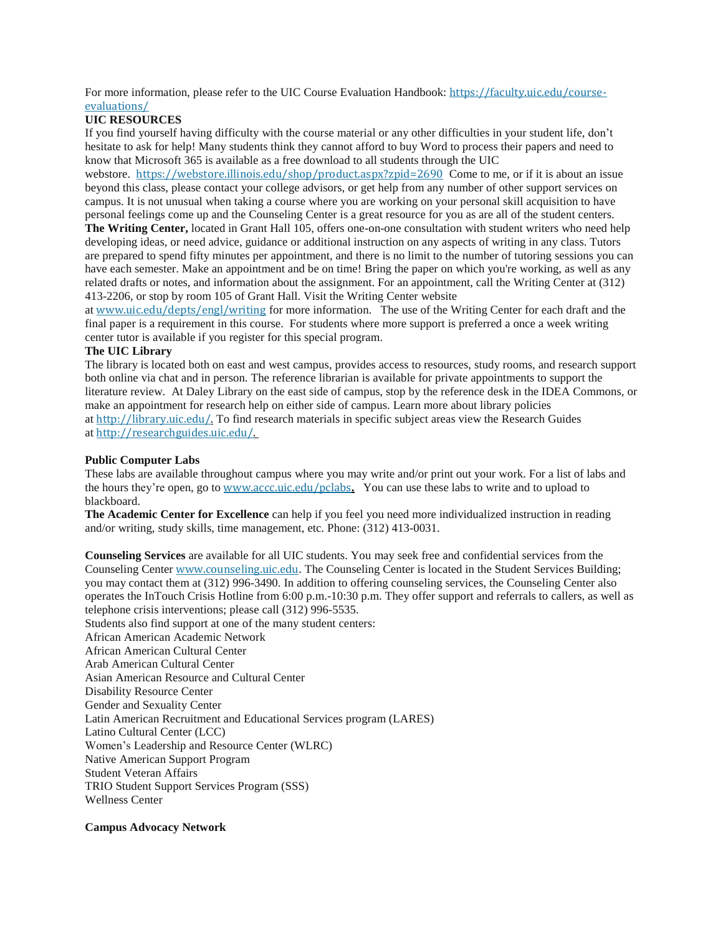For more information, please refer to the UIC Course Evaluation Handbook: [https://faculty.uic.edu/course](https://faculty.uic.edu/course-evaluations/)[evaluations/](https://faculty.uic.edu/course-evaluations/)

## **UIC RESOURCES**

If you find yourself having difficulty with the course material or any other difficulties in your student life, don't hesitate to ask for help! Many students think they cannot afford to buy Word to process their papers and need to know that Microsoft 365 is available as a free download to all students through the UIC

webstore. <https://webstore.illinois.edu/shop/product.aspx?zpid=2690> Come to me, or if it is about an issue beyond this class, please contact your college advisors, or get help from any number of other support services on campus. It is not unusual when taking a course where you are working on your personal skill acquisition to have personal feelings come up and the Counseling Center is a great resource for you as are all of the student centers.

**The Writing Center,** located in Grant Hall 105, offers one-on-one consultation with student writers who need help developing ideas, or need advice, guidance or additional instruction on any aspects of writing in any class. Tutors are prepared to spend fifty minutes per appointment, and there is no limit to the number of tutoring sessions you can have each semester. Make an appointment and be on time! Bring the paper on which you're working, as well as any related drafts or notes, and information about the assignment. For an appointment, call the Writing Center at (312) 413-2206, or stop by room 105 of Grant Hall. Visit the Writing Center website

at [www.uic.edu/depts/engl/writing](http://www.uic.edu/depts/engl/writing) for more information. The use of the Writing Center for each draft and the final paper is a requirement in this course. For students where more support is preferred a once a week writing center tutor is available if you register for this special program.

## **The UIC Library**

The library is located both on east and west campus, provides access to resources, study rooms, and research support both online via chat and in person. The reference librarian is available for private appointments to support the literature review. At Daley Library on the east side of campus, stop by the reference desk in the IDEA Commons, or make an appointment for research help on either side of campus. Learn more about library policies at [http://library.uic.edu/.](http://library.uic.edu/) To find research materials in specific subject areas view the Research Guides at [http://researchguides.uic.edu/.](http://researchguides.uic.edu/)

#### **Public Computer Labs**

These labs are available throughout campus where you may write and/or print out your work. For a list of labs and the hours they're open, go to [www.accc.uic.edu/pclabs](http://www.accc.uic.edu/pclabs)**.** You can use these labs to write and to upload to blackboard.

**The Academic Center for Excellence** can help if you feel you need more individualized instruction in reading and/or writing, study skills, time management, etc. Phone: (312) 413-0031.

**Counseling Services** are available for all UIC students. You may seek free and confidential services from the Counseling Center [www.counseling.uic.edu](http://www.counseling.uic.edu/). The Counseling Center is located in the Student Services Building; you may contact them at (312) 996-3490. In addition to offering counseling services, the Counseling Center also operates the InTouch Crisis Hotline from 6:00 p.m.-10:30 p.m. They offer support and referrals to callers, as well as telephone crisis interventions; please call (312) 996-5535.

Students also find support at one of the many student centers: African American Academic Network African American Cultural Center Arab American Cultural Center Asian American Resource and Cultural Center Disability Resource Center Gender and Sexuality Center Latin American Recruitment and Educational Services program (LARES) Latino Cultural Center (LCC) Women's Leadership and Resource Center (WLRC) Native American Support Program Student Veteran Affairs TRIO Student Support Services Program (SSS) Wellness Center

#### **Campus Advocacy Network**